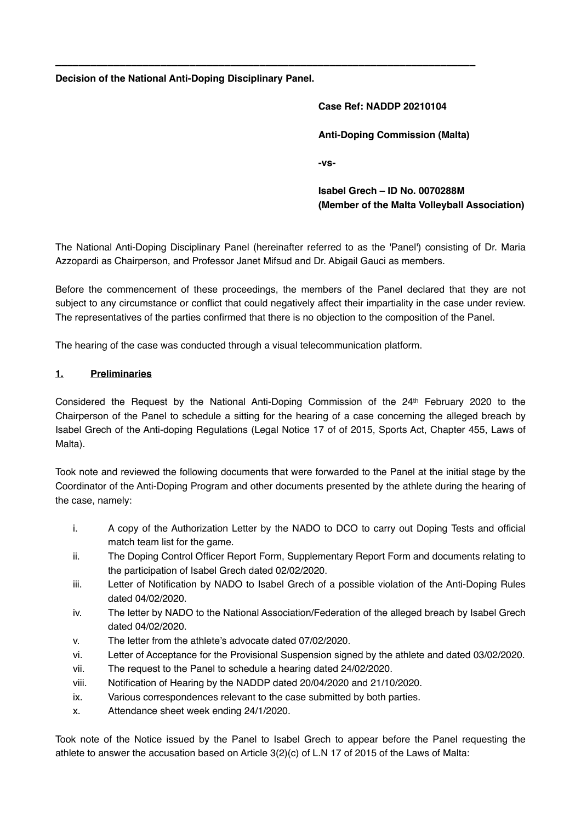**Decision of the National Anti-Doping Disciplinary Panel.**

# **Case Ref: NADDP 20210104 Anti-Doping Commission (Malta) -vs-**

**Isabel Grech – ID No. 0070288M (Member of the Malta Volleyball Association)**

The National Anti-Doping Disciplinary Panel (hereinafter referred to as the 'Panel') consisting of Dr. Maria Azzopardi as Chairperson, and Professor Janet Mifsud and Dr. Abigail Gauci as members.

**\_\_\_\_\_\_\_\_\_\_\_\_\_\_\_\_\_\_\_\_\_\_\_\_\_\_\_\_\_\_\_\_\_\_\_\_\_\_\_\_\_\_\_\_\_\_\_\_\_\_\_\_\_\_\_\_\_\_\_\_\_\_\_\_\_\_\_\_\_\_\_\_**

Before the commencement of these proceedings, the members of the Panel declared that they are not subject to any circumstance or conflict that could negatively affect their impartiality in the case under review. The representatives of the parties confirmed that there is no objection to the composition of the Panel.

The hearing of the case was conducted through a visual telecommunication platform.

#### **1. Preliminaries**

Considered the Request by the National Anti-Doping Commission of the 24th February 2020 to the Chairperson of the Panel to schedule a sitting for the hearing of a case concerning the alleged breach by Isabel Grech of the Anti-doping Regulations (Legal Notice 17 of of 2015, Sports Act, Chapter 455, Laws of Malta).

Took note and reviewed the following documents that were forwarded to the Panel at the initial stage by the Coordinator of the Anti-Doping Program and other documents presented by the athlete during the hearing of the case, namely:

- i. A copy of the Authorization Letter by the NADO to DCO to carry out Doping Tests and official match team list for the game.
- ii. The Doping Control Officer Report Form, Supplementary Report Form and documents relating to the participation of Isabel Grech dated 02/02/2020.
- iii. Letter of Notification by NADO to Isabel Grech of a possible violation of the Anti-Doping Rules dated 04/02/2020.
- iv. The letter by NADO to the National Association/Federation of the alleged breach by Isabel Grech dated 04/02/2020.
- v. The letter from the athlete's advocate dated 07/02/2020.
- vi. Letter of Acceptance for the Provisional Suspension signed by the athlete and dated 03/02/2020.
- vii. The request to the Panel to schedule a hearing dated 24/02/2020.
- viii. Notification of Hearing by the NADDP dated 20/04/2020 and 21/10/2020.
- ix. Various correspondences relevant to the case submitted by both parties.
- x. Attendance sheet week ending 24/1/2020.

Took note of the Notice issued by the Panel to Isabel Grech to appear before the Panel requesting the athlete to answer the accusation based on Article 3(2)(c) of L.N 17 of 2015 of the Laws of Malta: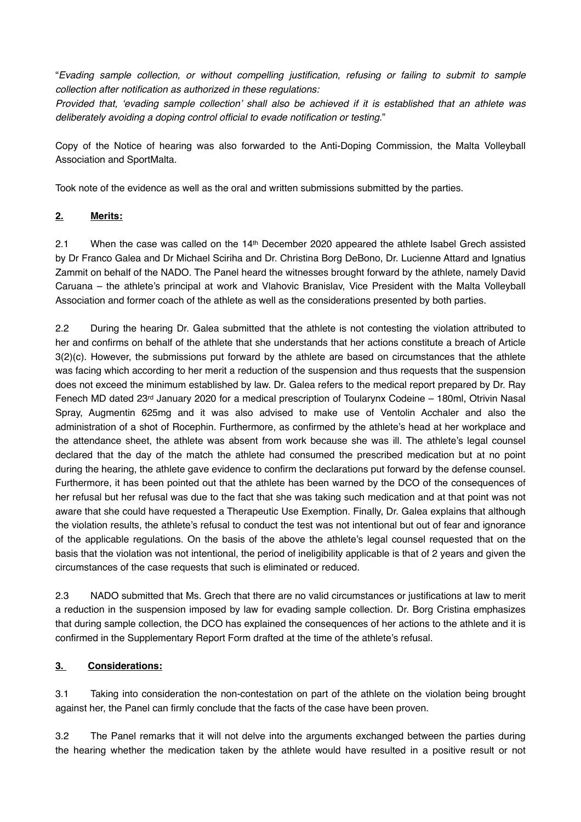"*Evading sample collection, or without compelling justification, refusing or failing to submit to sample collection after notification as authorized in these regulations:*

*Provided that, 'evading sample collection' shall also be achieved if it is established that an athlete was deliberately avoiding a doping control official to evade notification or testing.*"

Copy of the Notice of hearing was also forwarded to the Anti-Doping Commission, the Malta Volleyball Association and SportMalta.

Took note of the evidence as well as the oral and written submissions submitted by the parties.

### **2. Merits:**

2.1 When the case was called on the 14<sup>th</sup> December 2020 appeared the athlete Isabel Grech assisted by Dr Franco Galea and Dr Michael Sciriha and Dr. Christina Borg DeBono, Dr. Lucienne Attard and Ignatius Zammit on behalf of the NADO. The Panel heard the witnesses brought forward by the athlete, namely David Caruana – the athlete's principal at work and Vlahovic Branislav, Vice President with the Malta Volleyball Association and former coach of the athlete as well as the considerations presented by both parties.

2.2 During the hearing Dr. Galea submitted that the athlete is not contesting the violation attributed to her and confirms on behalf of the athlete that she understands that her actions constitute a breach of Article 3(2)(c). However, the submissions put forward by the athlete are based on circumstances that the athlete was facing which according to her merit a reduction of the suspension and thus requests that the suspension does not exceed the minimum established by law. Dr. Galea refers to the medical report prepared by Dr. Ray Fenech MD dated 23rd January 2020 for a medical prescription of Toularynx Codeine – 180ml, Otrivin Nasal Spray, Augmentin 625mg and it was also advised to make use of Ventolin Acchaler and also the administration of a shot of Rocephin. Furthermore, as confirmed by the athlete's head at her workplace and the attendance sheet, the athlete was absent from work because she was ill. The athlete's legal counsel declared that the day of the match the athlete had consumed the prescribed medication but at no point during the hearing, the athlete gave evidence to confirm the declarations put forward by the defense counsel. Furthermore, it has been pointed out that the athlete has been warned by the DCO of the consequences of her refusal but her refusal was due to the fact that she was taking such medication and at that point was not aware that she could have requested a Therapeutic Use Exemption. Finally, Dr. Galea explains that although the violation results, the athlete's refusal to conduct the test was not intentional but out of fear and ignorance of the applicable regulations. On the basis of the above the athlete's legal counsel requested that on the basis that the violation was not intentional, the period of ineligibility applicable is that of 2 years and given the circumstances of the case requests that such is eliminated or reduced.

2.3 NADO submitted that Ms. Grech that there are no valid circumstances or justifications at law to merit a reduction in the suspension imposed by law for evading sample collection. Dr. Borg Cristina emphasizes that during sample collection, the DCO has explained the consequences of her actions to the athlete and it is confirmed in the Supplementary Report Form drafted at the time of the athlete's refusal.

#### **3. Considerations:**

3.1 Taking into consideration the non-contestation on part of the athlete on the violation being brought against her, the Panel can firmly conclude that the facts of the case have been proven.

3.2 The Panel remarks that it will not delve into the arguments exchanged between the parties during the hearing whether the medication taken by the athlete would have resulted in a positive result or not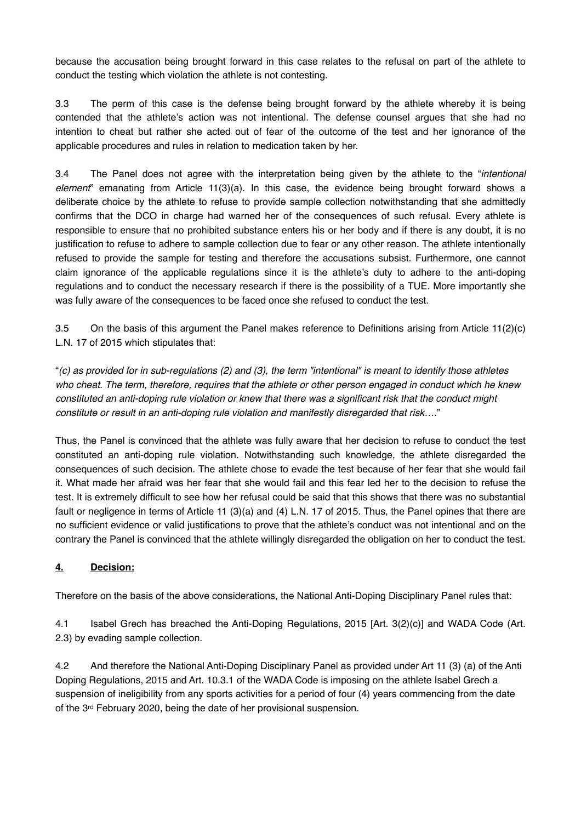because the accusation being brought forward in this case relates to the refusal on part of the athlete to conduct the testing which violation the athlete is not contesting.

3.3 The perm of this case is the defense being brought forward by the athlete whereby it is being contended that the athlete's action was not intentional. The defense counsel argues that she had no intention to cheat but rather she acted out of fear of the outcome of the test and her ignorance of the applicable procedures and rules in relation to medication taken by her.

3.4 The Panel does not agree with the interpretation being given by the athlete to the "*intentional element*" emanating from Article 11(3)(a). In this case, the evidence being brought forward shows a deliberate choice by the athlete to refuse to provide sample collection notwithstanding that she admittedly confirms that the DCO in charge had warned her of the consequences of such refusal. Every athlete is responsible to ensure that no prohibited substance enters his or her body and if there is any doubt, it is no justification to refuse to adhere to sample collection due to fear or any other reason. The athlete intentionally refused to provide the sample for testing and therefore the accusations subsist. Furthermore, one cannot claim ignorance of the applicable regulations since it is the athlete's duty to adhere to the anti-doping regulations and to conduct the necessary research if there is the possibility of a TUE. More importantly she was fully aware of the consequences to be faced once she refused to conduct the test.

3.5 On the basis of this argument the Panel makes reference to Definitions arising from Article 11(2)(c) L.N. 17 of 2015 which stipulates that:

"*(c) as provided for in sub-regulations (2) and (3), the term "intentional" is meant to identify those athletes who cheat. The term, therefore, requires that the athlete or other person engaged in conduct which he knew constituted an anti-doping rule violation or knew that there was a significant risk that the conduct might constitute or result in an anti-doping rule violation and manifestly disregarded that risk….*"

Thus, the Panel is convinced that the athlete was fully aware that her decision to refuse to conduct the test constituted an anti-doping rule violation. Notwithstanding such knowledge, the athlete disregarded the consequences of such decision. The athlete chose to evade the test because of her fear that she would fail it. What made her afraid was her fear that she would fail and this fear led her to the decision to refuse the test. It is extremely difficult to see how her refusal could be said that this shows that there was no substantial fault or negligence in terms of Article 11 (3)(a) and (4) L.N. 17 of 2015. Thus, the Panel opines that there are no sufficient evidence or valid justifications to prove that the athlete's conduct was not intentional and on the contrary the Panel is convinced that the athlete willingly disregarded the obligation on her to conduct the test.

## **4. Decision:**

Therefore on the basis of the above considerations, the National Anti-Doping Disciplinary Panel rules that:

4.1 Isabel Grech has breached the Anti-Doping Regulations, 2015 [Art. 3(2)(c)] and WADA Code (Art. 2.3) by evading sample collection.

4.2 And therefore the National Anti-Doping Disciplinary Panel as provided under Art 11 (3) (a) of the Anti Doping Regulations, 2015 and Art. 10.3.1 of the WADA Code is imposing on the athlete Isabel Grech a suspension of ineligibility from any sports activities for a period of four (4) years commencing from the date of the 3rd February 2020, being the date of her provisional suspension.